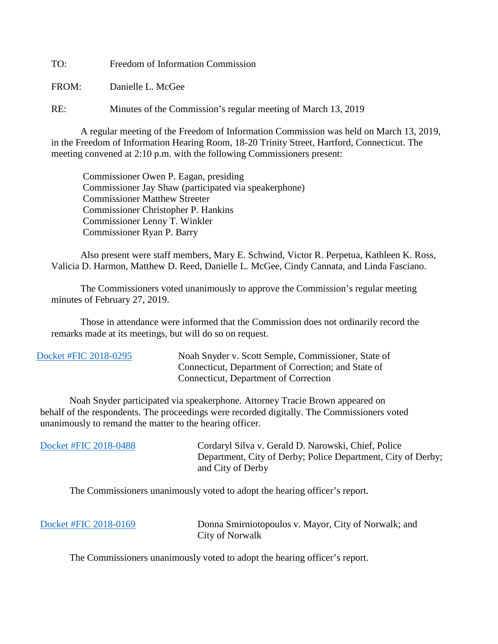TO: Freedom of Information Commission

FROM: Danielle L. McGee

RE: Minutes of the Commission's regular meeting of March 13, 2019

A regular meeting of the Freedom of Information Commission was held on March 13, 2019, in the Freedom of Information Hearing Room, 18-20 Trinity Street, Hartford, Connecticut. The meeting convened at 2:10 p.m. with the following Commissioners present:

 Commissioner Owen P. Eagan, presiding Commissioner Jay Shaw (participated via speakerphone) Commissioner Matthew Streeter Commissioner Christopher P. Hankins Commissioner Lenny T. Winkler Commissioner Ryan P. Barry

 Also present were staff members, Mary E. Schwind, Victor R. Perpetua, Kathleen K. Ross, Valicia D. Harmon, Matthew D. Reed, Danielle L. McGee, Cindy Cannata, and Linda Fasciano.

The Commissioners voted unanimously to approve the Commission's regular meeting minutes of February 27, 2019.

 Those in attendance were informed that the Commission does not ordinarily record the remarks made at its meetings, but will do so on request.

 Noah Snyder participated via speakerphone. Attorney Tracie Brown appeared on behalf of the respondents. The proceedings were recorded digitally. The Commissioners voted unanimously to remand the matter to the hearing officer.

| Docket #FIC 2018-0488 | Cordaryl Silva v. Gerald D. Narowski, Chief, Police<br>Department, City of Derby; Police Department, City of Derby;<br>and City of Derby |
|-----------------------|------------------------------------------------------------------------------------------------------------------------------------------|
|                       |                                                                                                                                          |

The Commissioners unanimously voted to adopt the hearing officer's report.

| Docket #FIC 2018-0169 | Donna Smirniotopoulos v. Mayor, City of Norwalk; and |
|-----------------------|------------------------------------------------------|
|                       | City of Norwalk                                      |

The Commissioners unanimously voted to adopt the hearing officer's report.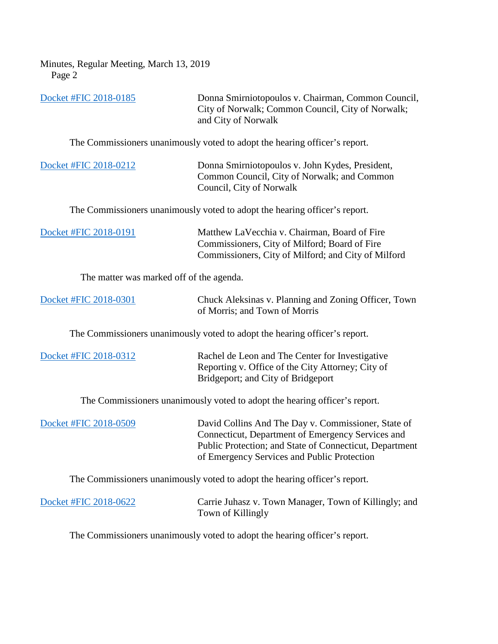Minutes, Regular Meeting, March 13, 2019 Page 2

| Docket #FIC 2018-0185                                                      | Donna Smirniotopoulos v. Chairman, Common Council,<br>City of Norwalk; Common Council, City of Norwalk;<br>and City of Norwalk                                                                                     |
|----------------------------------------------------------------------------|--------------------------------------------------------------------------------------------------------------------------------------------------------------------------------------------------------------------|
|                                                                            | The Commissioners unanimously voted to adopt the hearing officer's report.                                                                                                                                         |
| Docket #FIC 2018-0212                                                      | Donna Smirniotopoulos v. John Kydes, President,<br>Common Council, City of Norwalk; and Common<br>Council, City of Norwalk                                                                                         |
|                                                                            | The Commissioners unanimously voted to adopt the hearing officer's report.                                                                                                                                         |
| Docket #FIC 2018-0191                                                      | Matthew LaVecchia v. Chairman, Board of Fire<br>Commissioners, City of Milford; Board of Fire<br>Commissioners, City of Milford; and City of Milford                                                               |
| The matter was marked off of the agenda.                                   |                                                                                                                                                                                                                    |
| Docket #FIC 2018-0301                                                      | Chuck Aleksinas v. Planning and Zoning Officer, Town<br>of Morris; and Town of Morris                                                                                                                              |
|                                                                            | The Commissioners unanimously voted to adopt the hearing officer's report.                                                                                                                                         |
| Docket #FIC 2018-0312                                                      | Rachel de Leon and The Center for Investigative<br>Reporting v. Office of the City Attorney; City of<br>Bridgeport; and City of Bridgeport                                                                         |
| The Commissioners unanimously voted to adopt the hearing officer's report. |                                                                                                                                                                                                                    |
| Docket #FIC 2018-0509                                                      | David Collins And The Day v. Commissioner, State of<br>Connecticut, Department of Emergency Services and<br>Public Protection; and State of Connecticut, Department<br>of Emergency Services and Public Protection |
| The Commissioners unanimously voted to adopt the hearing officer's report. |                                                                                                                                                                                                                    |
| Docket #FIC 2018-0622                                                      | Carrie Juhasz v. Town Manager, Town of Killingly; and<br>Town of Killingly                                                                                                                                         |

The Commissioners unanimously voted to adopt the hearing officer's report.